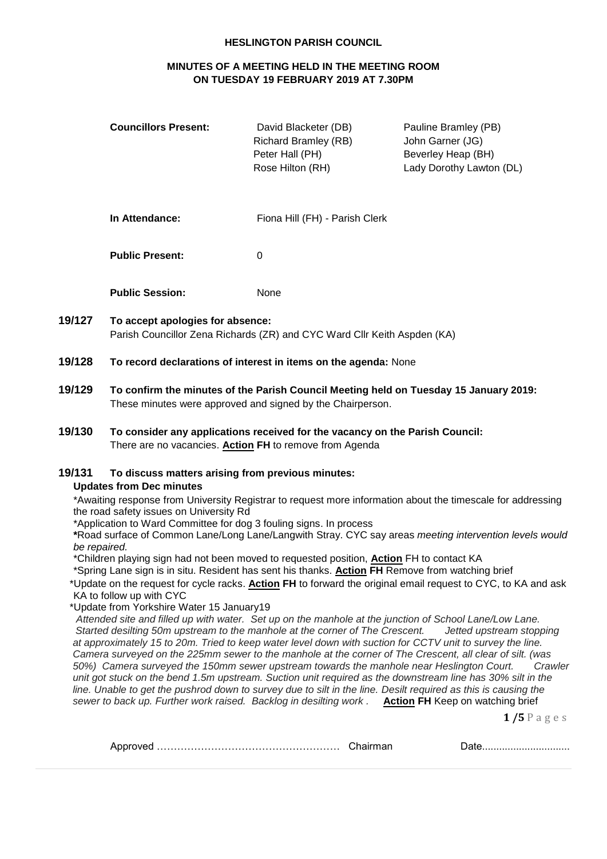#### **HESLINGTON PARISH COUNCIL**

# **MINUTES OF A MEETING HELD IN THE MEETING ROOM ON TUESDAY 19 FEBRUARY 2019 AT 7.30PM**

| <b>Councillors Present:</b> | David Blacketer (DB)<br><b>Richard Bramley (RB)</b><br>Peter Hall (PH)<br>Rose Hilton (RH) | Pauline Bramley (PB)<br>John Garner (JG)<br>Beverley Heap (BH)<br>Lady Dorothy Lawton (DL) |
|-----------------------------|--------------------------------------------------------------------------------------------|--------------------------------------------------------------------------------------------|
| In Attendance:              | Fiona Hill (FH) - Parish Clerk                                                             |                                                                                            |
| <b>Public Present:</b>      | 0                                                                                          |                                                                                            |
| <b>Public Session:</b>      | None                                                                                       |                                                                                            |

- **19/127 To accept apologies for absence:** Parish Councillor Zena Richards (ZR) and CYC Ward Cllr Keith Aspden (KA)
- **19/128 To record declarations of interest in items on the agenda:** None
- **19/129 To confirm the minutes of the Parish Council Meeting held on Tuesday 15 January 2019:** These minutes were approved and signed by the Chairperson.
- **19/130 To consider any applications received for the vacancy on the Parish Council:** There are no vacancies. **Action FH** to remove from Agenda

## **19/131 To discuss matters arising from previous minutes:**

## **Updates from Dec minutes**

\*Awaiting response from University Registrar to request more information about the timescale for addressing the road safety issues on University Rd

\*Application to Ward Committee for dog 3 fouling signs. In process

**\***Road surface of Common Lane/Long Lane/Langwith Stray. CYC say areas *meeting intervention levels would be repaired.*

\*Children playing sign had not been moved to requested position, **Action** FH to contact KA

\*Spring Lane sign is in situ. Resident has sent his thanks. **Action FH** Remove from watching brief

 \*Update on the request for cycle racks. **Action FH** to forward the original email request to CYC, to KA and ask KA to follow up with CYC

\*Update from Yorkshire Water 15 January19

*Attended site and filled up with water. Set up on the manhole at the junction of School Lane/Low Lane. Started desilting 50m upstream to the manhole at the corner of The Crescent. Jetted upstream stopping at approximately 15 to 20m. Tried to keep water level down with suction for CCTV unit to survey the line. Camera surveyed on the 225mm sewer to the manhole at the corner of The Crescent, all clear of silt. (was 50%) Camera surveyed the 150mm sewer upstream towards the manhole near Heslington Court. Crawler unit got stuck on the bend 1.5m upstream. Suction unit required as the downstream line has 30% silt in the line. Unable to get the pushrod down to survey due to silt in the line. Desilt required as this is causing the sewer to back up. Further work raised. Backlog in desilting work .* **Action FH** Keep on watching brief

**1 /5** P a g e s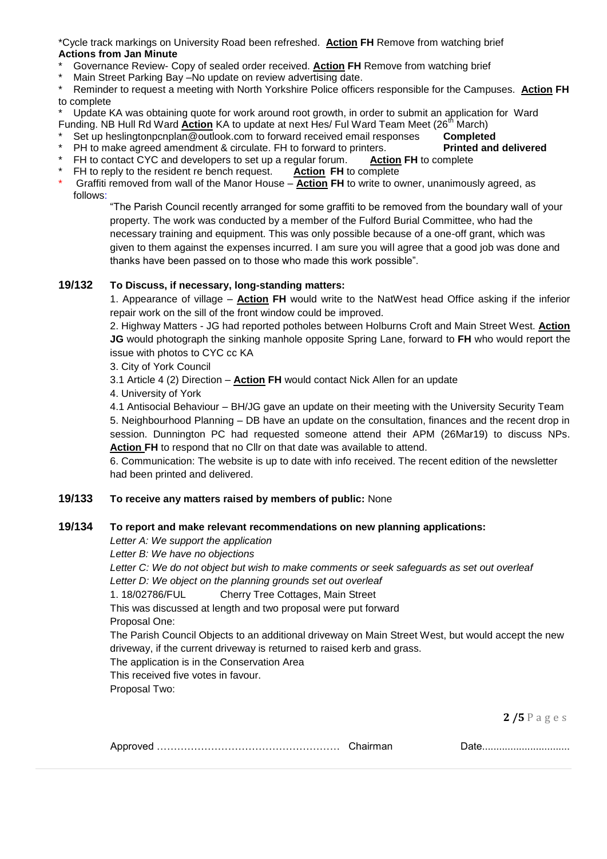\*Cycle track markings on University Road been refreshed. **Action FH** Remove from watching brief **Actions from Jan Minute**

- \* Governance Review- Copy of sealed order received. **Action FH** Remove from watching brief
- \* Main Street Parking Bay –No update on review advertising date.

\* Reminder to request a meeting with North Yorkshire Police officers responsible for the Campuses. **Action FH** to complete

Update KA was obtaining quote for work around root growth, in order to submit an application for Ward Funding. NB Hull Rd Ward Action KA to update at next Hes/ Ful Ward Team Meet (26<sup>th</sup> March)

- Set up heslingtonpcnplan@outlook.com to forward received email responses **Completed**
- PH to make agreed amendment & circulate. FH to forward to printers. **Printed and delivered**
- \* FH to contact CYC and developers to set up a regular forum. **Action FH** to complete
- \* FH to reply to the resident re bench request. **Action FH** to complete
- \* Graffiti removed from wall of the Manor House **Action FH** to write to owner, unanimously agreed, as follows:

"The Parish Council recently arranged for some graffiti to be removed from the boundary wall of your property. The work was conducted by a member of the Fulford Burial Committee, who had the necessary training and equipment. This was only possible because of a one-off grant, which was given to them against the expenses incurred. I am sure you will agree that a good job was done and thanks have been passed on to those who made this work possible".

# **19/132 To Discuss, if necessary, long-standing matters:**

1. Appearance of village – **Action FH** would write to the NatWest head Office asking if the inferior repair work on the sill of the front window could be improved.

2. Highway Matters - JG had reported potholes between Holburns Croft and Main Street West. **Action JG** would photograph the sinking manhole opposite Spring Lane, forward to **FH** who would report the issue with photos to CYC cc KA

3. City of York Council

3.1 Article 4 (2) Direction – **Action FH** would contact Nick Allen for an update

4. University of York

4.1 Antisocial Behaviour – BH/JG gave an update on their meeting with the University Security Team 5. Neighbourhood Planning – DB have an update on the consultation, finances and the recent drop in session. Dunnington PC had requested someone attend their APM (26Mar19) to discuss NPs. **Action FH** to respond that no Cllr on that date was available to attend.

6. Communication: The website is up to date with info received. The recent edition of the newsletter had been printed and delivered.

## **19/133 To receive any matters raised by members of public:** None

## **19/134 To report and make relevant recommendations on new planning applications:**

*Letter A: We support the application*

*Letter B: We have no objections*

*Letter C: We do not object but wish to make comments or seek safeguards as set out overleaf Letter D: We object on the planning grounds set out overleaf*

1. 18/02786/FUL Cherry Tree Cottages, Main Street

This was discussed at length and two proposal were put forward Proposal One:

The Parish Council Objects to an additional driveway on Main Street West, but would accept the new driveway, if the current driveway is returned to raised kerb and grass.

The application is in the Conservation Area

This received five votes in favour.

Proposal Two:

**2 /5** P a g e s

| Approved ……………………………………………………… |  |  |
|--------------------------------|--|--|
|--------------------------------|--|--|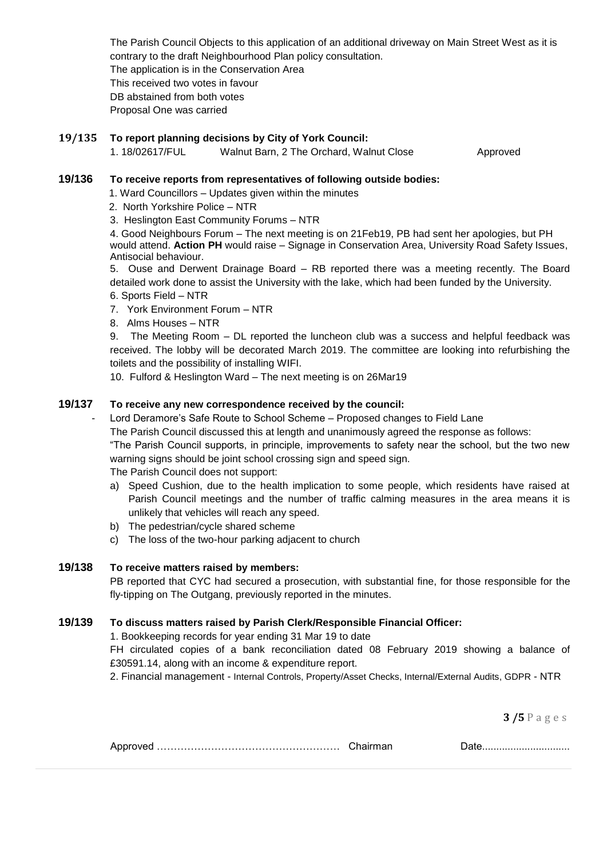The Parish Council Objects to this application of an additional driveway on Main Street West as it is contrary to the draft Neighbourhood Plan policy consultation. The application is in the Conservation Area This received two votes in favour DB abstained from both votes Proposal One was carried

## **19/135 To report planning decisions by City of York Council:**

1. 18/02617/FUL Walnut Barn, 2 The Orchard, Walnut Close Approved

# **19/136 To receive reports from representatives of following outside bodies:**

1. Ward Councillors – Updates given within the minutes

- 2. North Yorkshire Police NTR
- 3. Heslington East Community Forums NTR

4. Good Neighbours Forum – The next meeting is on 21Feb19, PB had sent her apologies, but PH would attend. **Action PH** would raise – Signage in Conservation Area, University Road Safety Issues, Antisocial behaviour.

5. Ouse and Derwent Drainage Board – RB reported there was a meeting recently. The Board detailed work done to assist the University with the lake, which had been funded by the University. 6. Sports Field – NTR

- 7. York Environment Forum NTR
- 8. Alms Houses NTR

9. The Meeting Room – DL reported the luncheon club was a success and helpful feedback was received. The lobby will be decorated March 2019. The committee are looking into refurbishing the toilets and the possibility of installing WIFI.

10. Fulford & Heslington Ward – The next meeting is on 26Mar19

## **19/137 To receive any new correspondence received by the council:**

Lord Deramore's Safe Route to School Scheme - Proposed changes to Field Lane

The Parish Council discussed this at length and unanimously agreed the response as follows:

"The Parish Council supports, in principle, improvements to safety near the school, but the two new warning signs should be joint school crossing sign and speed sign.

The Parish Council does not support:

- a) Speed Cushion, due to the health implication to some people, which residents have raised at Parish Council meetings and the number of traffic calming measures in the area means it is unlikely that vehicles will reach any speed.
- b) The pedestrian/cycle shared scheme
- c) The loss of the two-hour parking adjacent to church

# **19/138 To receive matters raised by members:**

PB reported that CYC had secured a prosecution, with substantial fine, for those responsible for the fly-tipping on The Outgang, previously reported in the minutes.

## **19/139 To discuss matters raised by Parish Clerk/Responsible Financial Officer:**

1. Bookkeeping records for year ending 31 Mar 19 to date

FH circulated copies of a bank reconciliation dated 08 February 2019 showing a balance of £30591.14, along with an income & expenditure report.

2. Financial management - Internal Controls, Property/Asset Checks, Internal/External Audits, GDPR - NTR

**3 /5** P a g e s

|--|--|--|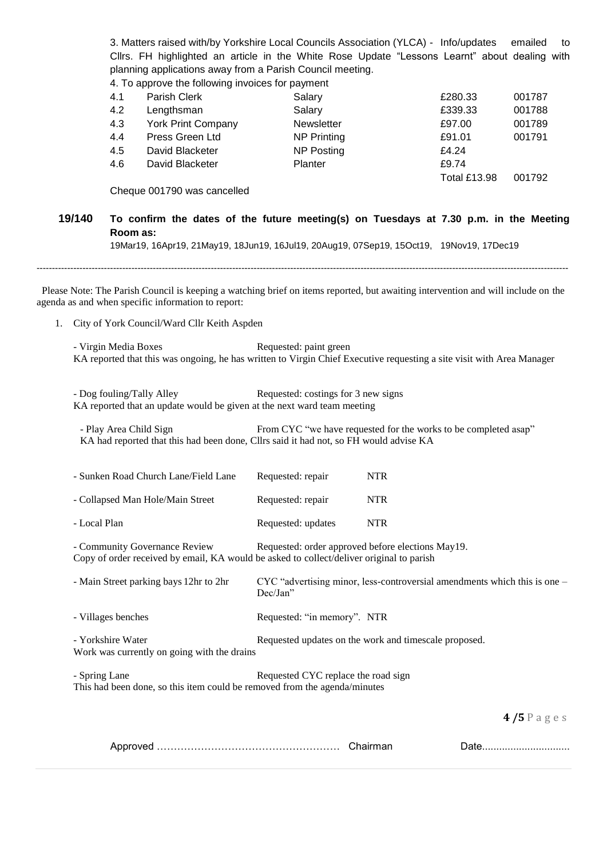3. Matters raised with/by Yorkshire Local Councils Association (YLCA) - Info/updates emailed to Cllrs. FH highlighted an article in the White Rose Update "Lessons Learnt" about dealing with planning applications away from a Parish Council meeting.

4. To approve the following invoices for payment

| 4.1 | Parish Clerk              | Salary             | £280.33             | 001787 |
|-----|---------------------------|--------------------|---------------------|--------|
| 4.2 | Lengthsman                | Salary             | £339.33             | 001788 |
| 4.3 | <b>York Print Company</b> | <b>Newsletter</b>  | £97.00              | 001789 |
| 4.4 | Press Green Ltd           | <b>NP Printing</b> | £91.01              | 001791 |
| 4.5 | David Blacketer           | <b>NP Posting</b>  | £4.24               |        |
| 4.6 | David Blacketer           | <b>Planter</b>     | £9.74               |        |
|     |                           |                    | <b>Total £13.98</b> | 001792 |

Cheque 001790 was cancelled

# **19/140 To confirm the dates of the future meeting(s) on Tuesdays at 7.30 p.m. in the Meeting Room as:**

19Mar19, 16Apr19, 21May19, 18Jun19, 16Jul19, 20Aug19, 07Sep19, 15Oct19, 19Nov19, 17Dec19

------------------------------------------------------------------------------------------------------------------------------------------------------------------------------

 Please Note: The Parish Council is keeping a watching brief on items reported, but awaiting intervention and will include on the agenda as and when specific information to report:

1. City of York Council/Ward Cllr Keith Aspden

| - Virgin Media Boxes<br>Requested: paint green<br>KA reported that this was ongoing, he has written to Virgin Chief Executive requesting a site visit with Area Manager            |                                                                                       |            |             |
|------------------------------------------------------------------------------------------------------------------------------------------------------------------------------------|---------------------------------------------------------------------------------------|------------|-------------|
| - Dog fouling/Tally Alley<br>Requested: costings for 3 new signs<br>KA reported that an update would be given at the next ward team meeting                                        |                                                                                       |            |             |
| - Play Area Child Sign<br>From CYC "we have requested for the works to be completed asap"<br>KA had reported that this had been done, Cllrs said it had not, so FH would advise KA |                                                                                       |            |             |
| - Sunken Road Church Lane/Field Lane                                                                                                                                               | Requested: repair                                                                     | <b>NTR</b> |             |
| - Collapsed Man Hole/Main Street                                                                                                                                                   | Requested: repair                                                                     | <b>NTR</b> |             |
| - Local Plan                                                                                                                                                                       | Requested: updates                                                                    | <b>NTR</b> |             |
| Requested: order approved before elections May19.<br>- Community Governance Review<br>Copy of order received by email, KA would be asked to collect/deliver original to parish     |                                                                                       |            |             |
| - Main Street parking bays 12hr to 2hr                                                                                                                                             | CYC "advertising minor, less-controversial amendments which this is one -<br>Dec/Jan" |            |             |
| - Villages benches                                                                                                                                                                 | Requested: "in memory". NTR                                                           |            |             |
| - Yorkshire Water<br>Requested updates on the work and timescale proposed.<br>Work was currently on going with the drains                                                          |                                                                                       |            |             |
| - Spring Lane<br>Requested CYC replace the road sign<br>This had been done, so this item could be removed from the agenda/minutes                                                  |                                                                                       |            |             |
|                                                                                                                                                                                    |                                                                                       |            | $4/5$ Pages |